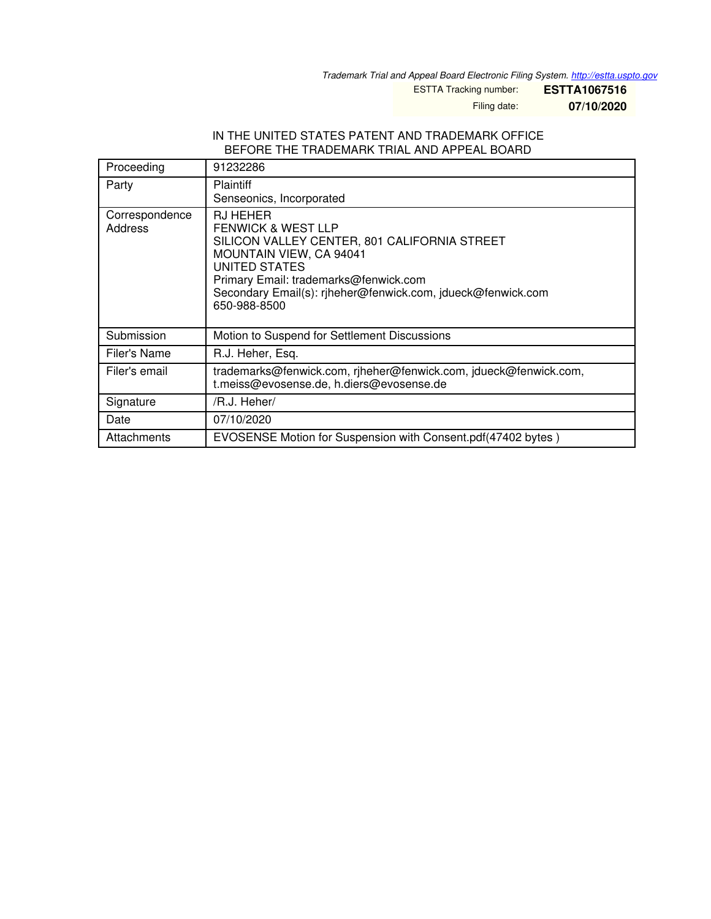*Trademark Trial and Appeal Board Electronic Filing System. <http://estta.uspto.gov>*

ESTTA Tracking number: **ESTTA1067516**

Filing date: **07/10/2020**

## IN THE UNITED STATES PATENT AND TRADEMARK OFFICE BEFORE THE TRADEMARK TRIAL AND APPEAL BOARD

| Proceeding                | 91232286                                                                                                                                                                                                                                                                    |
|---------------------------|-----------------------------------------------------------------------------------------------------------------------------------------------------------------------------------------------------------------------------------------------------------------------------|
| Party                     | <b>Plaintiff</b><br>Senseonics, Incorporated                                                                                                                                                                                                                                |
| Correspondence<br>Address | <b>RJ HEHER</b><br><b>FENWICK &amp; WEST LLP</b><br>SILICON VALLEY CENTER, 801 CALIFORNIA STREET<br><b>MOUNTAIN VIEW, CA 94041</b><br>UNITED STATES<br>Primary Email: trademarks@fenwick.com<br>Secondary Email(s): riheher@fenwick.com, jdueck@fenwick.com<br>650-988-8500 |
| Submission                | Motion to Suspend for Settlement Discussions                                                                                                                                                                                                                                |
| Filer's Name              | R.J. Heher, Esq.                                                                                                                                                                                                                                                            |
| Filer's email             | trademarks@fenwick.com, rjheher@fenwick.com, jdueck@fenwick.com,<br>t.meiss@evosense.de, h.diers@evosense.de                                                                                                                                                                |
| Signature                 | /R.J. Heher/                                                                                                                                                                                                                                                                |
| Date                      | 07/10/2020                                                                                                                                                                                                                                                                  |
| Attachments               | EVOSENSE Motion for Suspension with Consent.pdf(47402 bytes)                                                                                                                                                                                                                |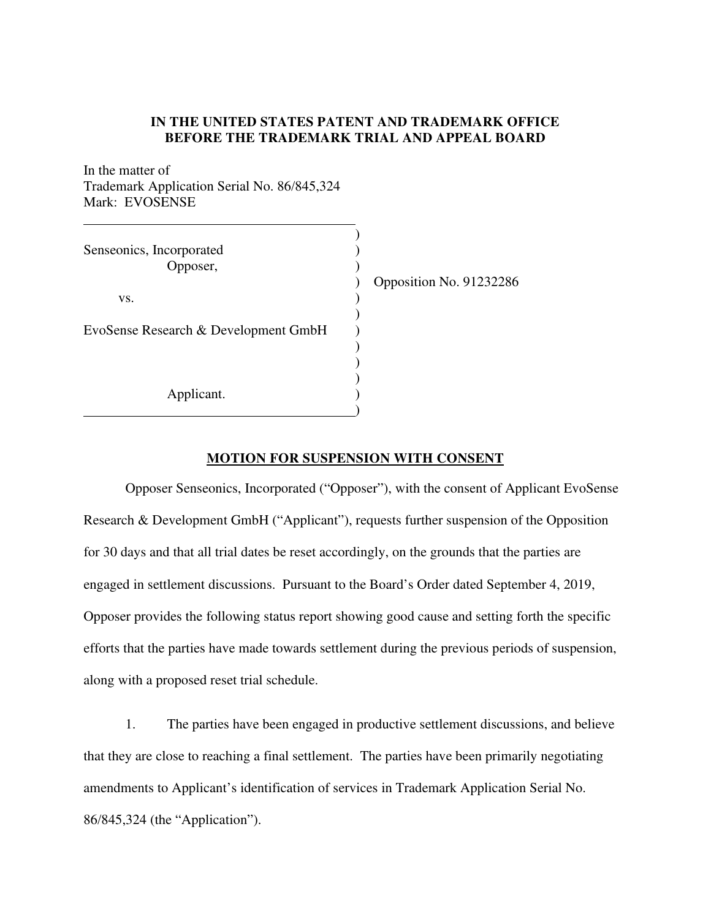## **IN THE UNITED STATES PATENT AND TRADEMARK OFFICE BEFORE THE TRADEMARK TRIAL AND APPEAL BOARD**

In the matter of Trademark Application Serial No. [86/845,324](http://tsdr.uspto.gov/#caseNumber=86845324&caseType=SERIAL_NO&searchType=statusSearch)  Mark: EVOSENSE

| Senseonics, Incorporated<br>Opposer,<br>VS.<br>EvoSense Research & Development GmbH | Opposition No. 91232286 |
|-------------------------------------------------------------------------------------|-------------------------|
| Applicant.                                                                          |                         |

## **MOTION FOR SUSPENSION WITH CONSENT**

Opposer Senseonics, Incorporated ("Opposer"), with the consent of Applicant EvoSense Research & Development GmbH ("Applicant"), requests further suspension of the Opposition for 30 days and that all trial dates be reset accordingly, on the grounds that the parties are engaged in settlement discussions. Pursuant to the Board's Order dated September 4, 2019, Opposer provides the following status report showing good cause and setting forth the specific efforts that the parties have made towards settlement during the previous periods of suspension, along with a proposed reset trial schedule.

1. The parties have been engaged in productive settlement discussions, and believe that they are close to reaching a final settlement. The parties have been primarily negotiating amendments to Applicant's identification of services in Trademark Application Serial No. [86/845,324](http://tsdr.uspto.gov/#caseNumber=86845324&caseType=SERIAL_NO&searchType=statusSearch) (the "Application").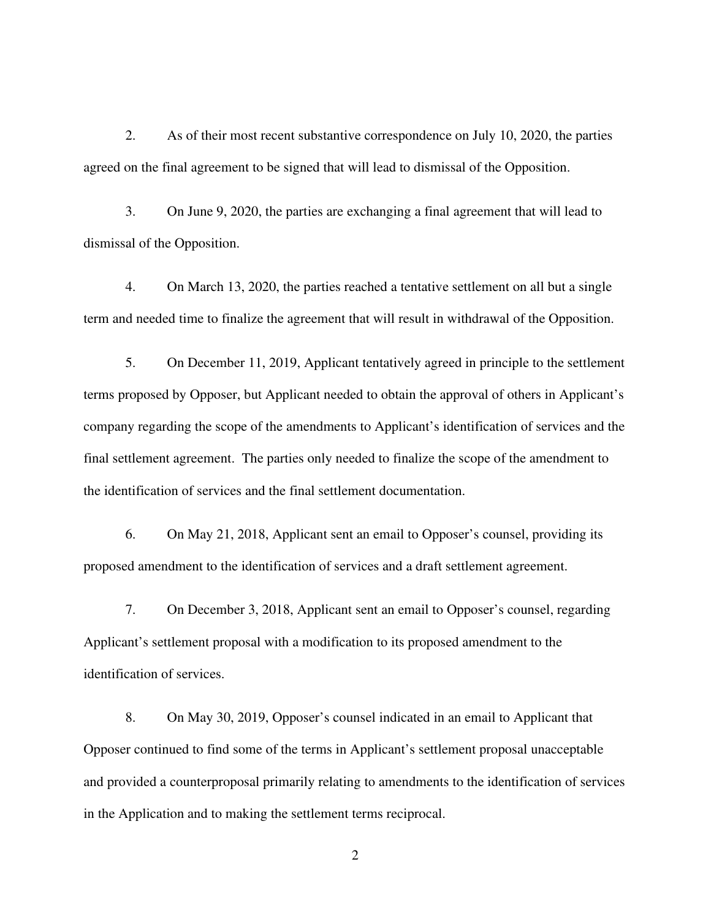2. As of their most recent substantive correspondence on July 10, 2020, the parties agreed on the final agreement to be signed that will lead to dismissal of the Opposition.

3. On June 9, 2020, the parties are exchanging a final agreement that will lead to dismissal of the Opposition.

4. On March 13, 2020, the parties reached a tentative settlement on all but a single term and needed time to finalize the agreement that will result in withdrawal of the Opposition.

5. On December 11, 2019, Applicant tentatively agreed in principle to the settlement terms proposed by Opposer, but Applicant needed to obtain the approval of others in Applicant's company regarding the scope of the amendments to Applicant's identification of services and the final settlement agreement. The parties only needed to finalize the scope of the amendment to the identification of services and the final settlement documentation.

6. On May 21, 2018, Applicant sent an email to Opposer's counsel, providing its proposed amendment to the identification of services and a draft settlement agreement.

7. On December 3, 2018, Applicant sent an email to Opposer's counsel, regarding Applicant's settlement proposal with a modification to its proposed amendment to the identification of services.

8. On May 30, 2019, Opposer's counsel indicated in an email to Applicant that Opposer continued to find some of the terms in Applicant's settlement proposal unacceptable and provided a counterproposal primarily relating to amendments to the identification of services in the Application and to making the settlement terms reciprocal.

2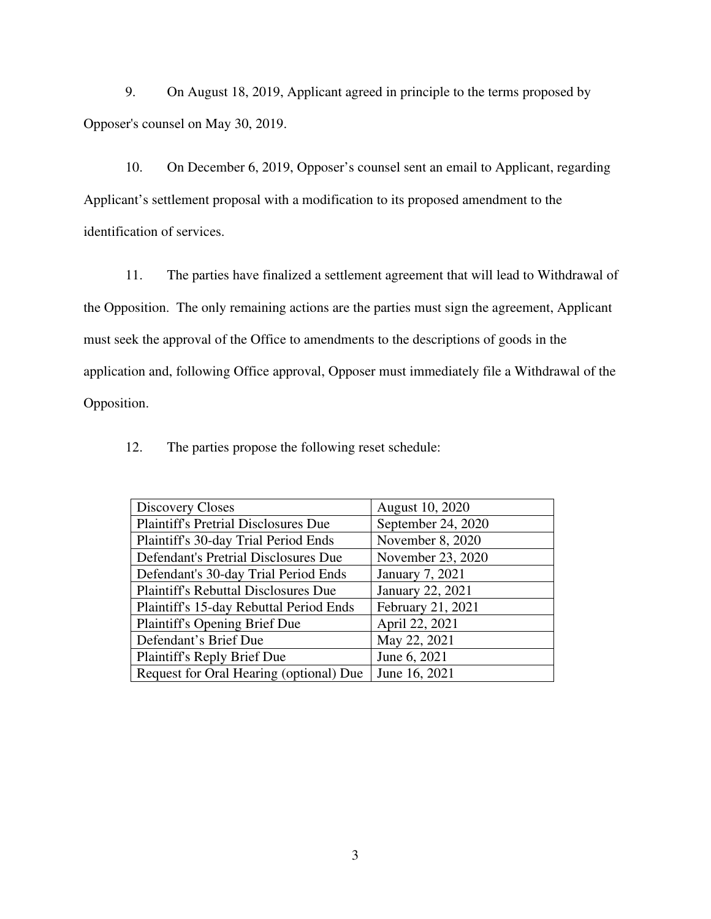9. On August 18, 2019, Applicant agreed in principle to the terms proposed by Opposer's counsel on May 30, 2019.

10. On December 6, 2019, Opposer's counsel sent an email to Applicant, regarding Applicant's settlement proposal with a modification to its proposed amendment to the identification of services.

11. The parties have finalized a settlement agreement that will lead to Withdrawal of the Opposition. The only remaining actions are the parties must sign the agreement, Applicant must seek the approval of the Office to amendments to the descriptions of goods in the application and, following Office approval, Opposer must immediately file a Withdrawal of the Opposition.

12. The parties propose the following reset schedule:

| <b>Discovery Closes</b>                     | August 10, 2020        |
|---------------------------------------------|------------------------|
| <b>Plaintiff's Pretrial Disclosures Due</b> | September 24, 2020     |
| Plaintiff's 30-day Trial Period Ends        | November 8, 2020       |
| Defendant's Pretrial Disclosures Due        | November 23, 2020      |
| Defendant's 30-day Trial Period Ends        | <b>January 7, 2021</b> |
| <b>Plaintiff's Rebuttal Disclosures Due</b> | January 22, 2021       |
| Plaintiff's 15-day Rebuttal Period Ends     | February 21, 2021      |
| Plaintiff's Opening Brief Due               | April 22, 2021         |
| Defendant's Brief Due                       | May 22, 2021           |
| <b>Plaintiff's Reply Brief Due</b>          | June 6, 2021           |
| Request for Oral Hearing (optional) Due     | June 16, 2021          |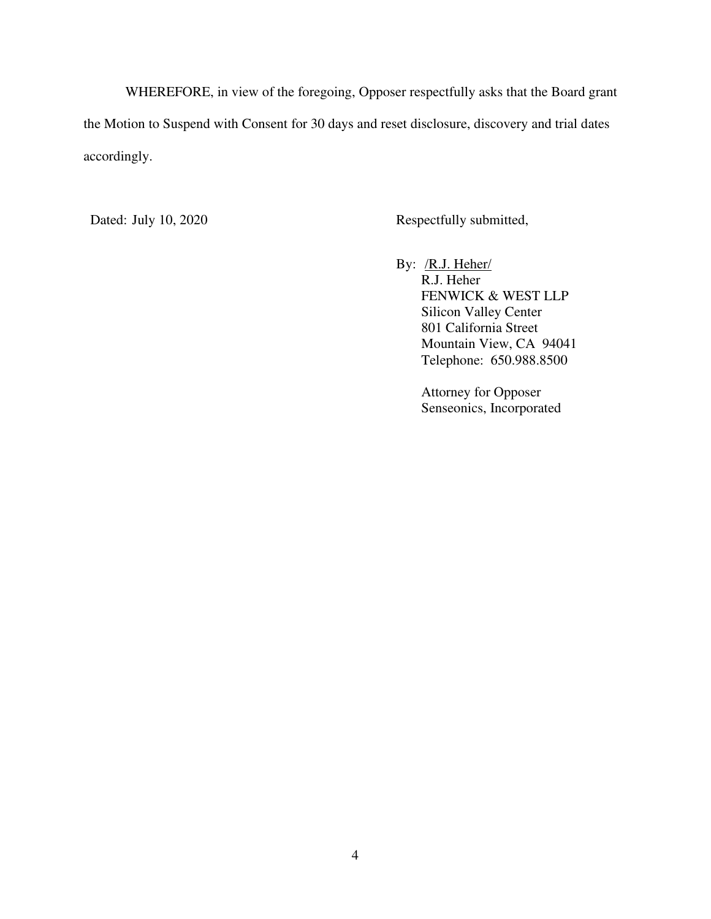WHEREFORE, in view of the foregoing, Opposer respectfully asks that the Board grant the Motion to Suspend with Consent for 30 days and reset disclosure, discovery and trial dates accordingly.

Dated: July 10, 2020 Respectfully submitted,

By: /R.J. Heher/ R.J. Heher FENWICK & WEST LLP Silicon Valley Center 801 California Street Mountain View, CA 94041 Telephone: 650.988.8500

> Attorney for Opposer Senseonics, Incorporated